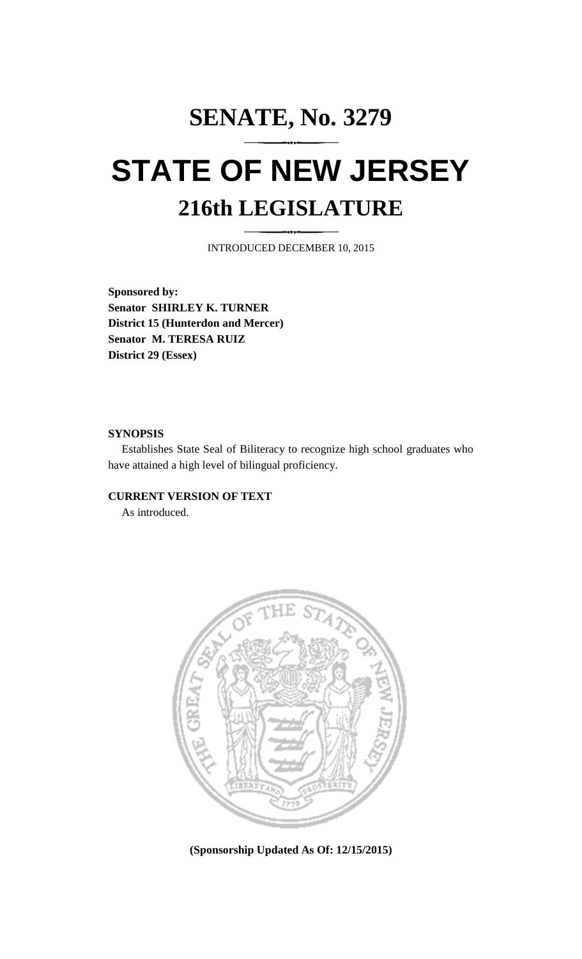# **SENATE, No. 3279 STATE OF NEW JERSEY 216th LEGISLATURE**

INTRODUCED DECEMBER 10, 2015

**Sponsored by: Senator SHIRLEY K. TURNER District 15 (Hunterdon and Mercer) Senator M. TERESA RUIZ District 29 (Essex)**

## **SYNOPSIS**

Establishes State Seal of Biliteracy to recognize high school graduates who have attained a high level of bilingual proficiency.

# **CURRENT VERSION OF TEXT**

As introduced.



**(Sponsorship Updated As Of: 12/15/2015)**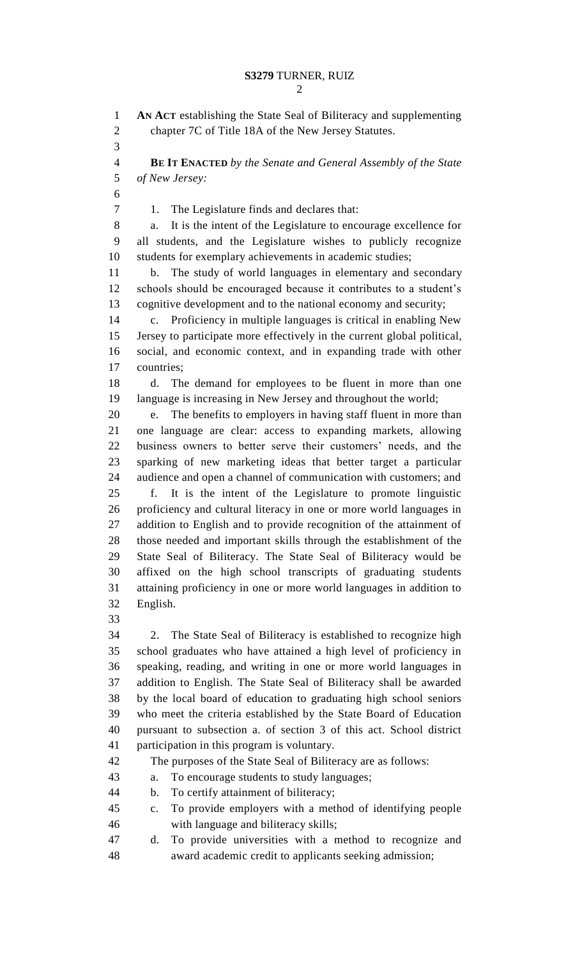| $\mathbf{1}$   | AN ACT establishing the State Seal of Biliteracy and supplementing         |
|----------------|----------------------------------------------------------------------------|
| $\overline{2}$ | chapter 7C of Title 18A of the New Jersey Statutes.                        |
| 3              |                                                                            |
| $\overline{4}$ | <b>BE IT ENACTED</b> by the Senate and General Assembly of the State       |
| 5              | of New Jersey:                                                             |
| 6              |                                                                            |
| 7              | The Legislature finds and declares that:<br>1.                             |
| 8              | It is the intent of the Legislature to encourage excellence for<br>a.      |
| 9              | all students, and the Legislature wishes to publicly recognize             |
| 10             | students for exemplary achievements in academic studies;                   |
| 11             | The study of world languages in elementary and secondary<br>b.             |
| 12             | schools should be encouraged because it contributes to a student's         |
| 13             | cognitive development and to the national economy and security;            |
| 14             | Proficiency in multiple languages is critical in enabling New<br>$c_{\rm}$ |
| 15             | Jersey to participate more effectively in the current global political,    |
| 16             | social, and economic context, and in expanding trade with other            |
| 17             | countries;                                                                 |
| 18             | The demand for employees to be fluent in more than one<br>d.               |
| 19             | language is increasing in New Jersey and throughout the world;             |
| 20             | The benefits to employers in having staff fluent in more than<br>e.        |
| 21             | one language are clear: access to expanding markets, allowing              |
| 22             | business owners to better serve their customers' needs, and the            |
| 23             | sparking of new marketing ideas that better target a particular            |
| 24             | audience and open a channel of communication with customers; and           |
| 25             | It is the intent of the Legislature to promote linguistic<br>f.            |
| 26             | proficiency and cultural literacy in one or more world languages in        |
| 27             | addition to English and to provide recognition of the attainment of        |
| 28             | those needed and important skills through the establishment of the         |
| 29             | State Seal of Biliteracy. The State Seal of Biliteracy would be            |
| 30             | affixed on the high school transcripts of graduating students              |
| 31             | attaining proficiency in one or more world languages in addition to        |
| 32             | English.                                                                   |
| 33             |                                                                            |
| 34             | The State Seal of Biliteracy is established to recognize high<br>2.        |
| 35             | school graduates who have attained a high level of proficiency in          |
| 36             | speaking, reading, and writing in one or more world languages in           |
| 37             | addition to English. The State Seal of Biliteracy shall be awarded         |

 addition to English. The State Seal of Biliteracy shall be awarded by the local board of education to graduating high school seniors who meet the criteria established by the State Board of Education pursuant to subsection a. of section 3 of this act. School district participation in this program is voluntary.

The purposes of the State Seal of Biliteracy are as follows:

a. To encourage students to study languages;

- b. To certify attainment of biliteracy;
- c. To provide employers with a method of identifying people with language and biliteracy skills;
- d. To provide universities with a method to recognize and award academic credit to applicants seeking admission;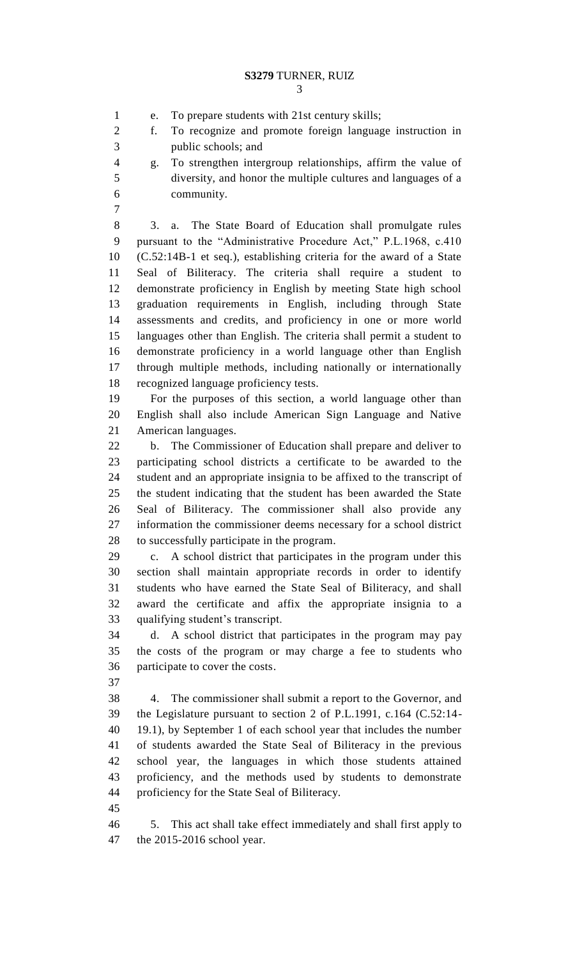f. To recognize and promote foreign language instruction in

e. To prepare students with 21st century skills;

 diversity, and honor the multiple cultures and languages of a community. 3. a. The State Board of Education shall promulgate rules pursuant to the "Administrative Procedure Act," P.L.1968, c.410 (C.52:14B-1 et seq.), establishing criteria for the award of a State Seal of Biliteracy. The criteria shall require a student to demonstrate proficiency in English by meeting State high school graduation requirements in English, including through State assessments and credits, and proficiency in one or more world languages other than English. The criteria shall permit a student to demonstrate proficiency in a world language other than English through multiple methods, including nationally or internationally recognized language proficiency tests. For the purposes of this section, a world language other than English shall also include American Sign Language and Native American languages. b. The Commissioner of Education shall prepare and deliver to participating school districts a certificate to be awarded to the

 student and an appropriate insignia to be affixed to the transcript of the student indicating that the student has been awarded the State Seal of Biliteracy. The commissioner shall also provide any information the commissioner deems necessary for a school district to successfully participate in the program. c. A school district that participates in the program under this

 section shall maintain appropriate records in order to identify students who have earned the State Seal of Biliteracy, and shall award the certificate and affix the appropriate insignia to a qualifying student's transcript.

 d. A school district that participates in the program may pay the costs of the program or may charge a fee to students who participate to cover the costs.

 4. The commissioner shall submit a report to the Governor, and the Legislature pursuant to section 2 of P.L.1991, c.164 (C.52:14- 19.1), by September 1 of each school year that includes the number of students awarded the State Seal of Biliteracy in the previous school year, the languages in which those students attained proficiency, and the methods used by students to demonstrate proficiency for the State Seal of Biliteracy.

 5. This act shall take effect immediately and shall first apply to the 2015-2016 school year.

 public schools; and g. To strengthen intergroup relationships, affirm the value of